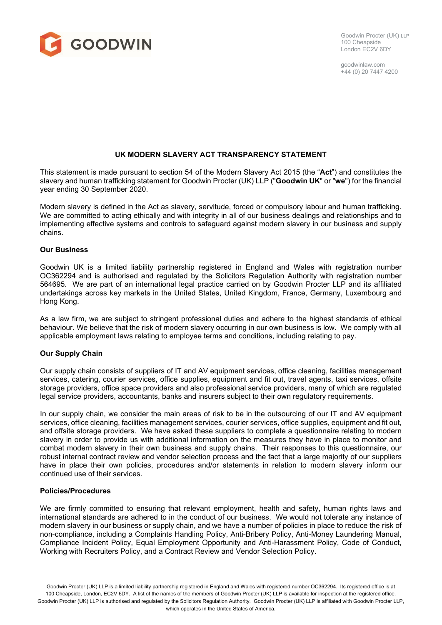

Goodwin Procter (UK) LLP 100 Cheapside London EC2V 6DY

goodwinlaw.com +44 (0) 20 7447 4200

# **UK MODERN SLAVERY ACT TRANSPARENCY STATEMENT**

This statement is made pursuant to section 54 of the Modern Slavery Act 2015 (the "**Act**") and constitutes the slavery and human trafficking statement for Goodwin Procter (UK) LLP ("**Goodwin UK**" or "**we**") for the financial year ending 30 September 2020.

Modern slavery is defined in the Act as slavery, servitude, forced or compulsory labour and human trafficking. We are committed to acting ethically and with integrity in all of our business dealings and relationships and to implementing effective systems and controls to safeguard against modern slavery in our business and supply chains.

#### **Our Business**

Goodwin UK is a limited liability partnership registered in England and Wales with registration number OC362294 and is authorised and regulated by the Solicitors Regulation Authority with registration number 564695. We are part of an international legal practice carried on by Goodwin Procter LLP and its affiliated undertakings across key markets in the United States, United Kingdom, France, Germany, Luxembourg and Hong Kong.

As a law firm, we are subject to stringent professional duties and adhere to the highest standards of ethical behaviour. We believe that the risk of modern slavery occurring in our own business is low. We comply with all applicable employment laws relating to employee terms and conditions, including relating to pay.

#### **Our Supply Chain**

Our supply chain consists of suppliers of IT and AV equipment services, office cleaning, facilities management services, catering, courier services, office supplies, equipment and fit out, travel agents, taxi services, offsite storage providers, office space providers and also professional service providers, many of which are regulated legal service providers, accountants, banks and insurers subject to their own regulatory requirements.

In our supply chain, we consider the main areas of risk to be in the outsourcing of our IT and AV equipment services, office cleaning, facilities management services, courier services, office supplies, equipment and fit out, and offsite storage providers. We have asked these suppliers to complete a questionnaire relating to modern slavery in order to provide us with additional information on the measures they have in place to monitor and combat modern slavery in their own business and supply chains. Their responses to this questionnaire, our robust internal contract review and vendor selection process and the fact that a large majority of our suppliers have in place their own policies, procedures and/or statements in relation to modern slavery inform our continued use of their services.

## **Policies/Procedures**

We are firmly committed to ensuring that relevant employment, health and safety, human rights laws and international standards are adhered to in the conduct of our business. We would not tolerate any instance of modern slavery in our business or supply chain, and we have a number of policies in place to reduce the risk of non-compliance, including a Complaints Handling Policy, Anti-Bribery Policy, Anti-Money Laundering Manual, Compliance Incident Policy, Equal Employment Opportunity and Anti-Harassment Policy, Code of Conduct, Working with Recruiters Policy, and a Contract Review and Vendor Selection Policy.